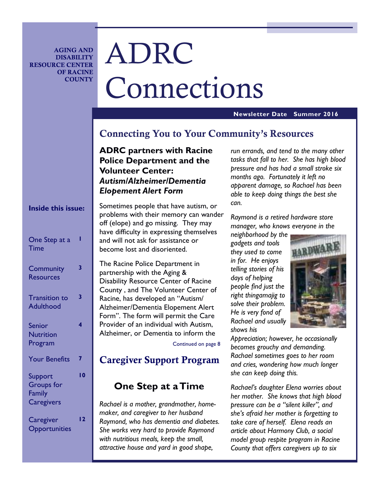**AGING AND DISABILITY RESOURCE CENTER OF RACINE COUNTY** 

# ADRC Connections

#### **Newsletter Date Summer 2016**

# **Connecting You to Your Community's Resources**

**ADRC partners with Racine Police Department and the Volunteer Center:**  *Autism/Alzheimer/Dementia Elopement Alert Form* 

| <b>Inside this issue:</b>                                   |                | ১ে<br>pı<br>ol     |
|-------------------------------------------------------------|----------------|--------------------|
| One Step at a<br><b>Time</b>                                |                | ha<br>ar<br>b٥     |
| Community<br><b>Resources</b>                               | 3              | T<br>Þέ<br>D       |
| <b>Transition to</b><br><b>Adulthood</b>                    | 3              | Ċ<br>R.<br>A<br>Fo |
| <b>Senior</b><br><b>Nutrition</b><br>Program                | 4              | Pı<br>A            |
| <b>Your Benefits</b>                                        | 7              | ŀ.                 |
| Support<br><b>Groups</b> for<br>Family<br><b>Caregivers</b> | $\overline{0}$ |                    |
| Caregiver<br>Opportunities                                  | $\overline{2}$ | R<br>m<br>R<br>Sł  |

ometimes people that have autism, or roblems with their memory can wander ff (elope) and go missing. They may ave difficulty in expressing themselves and will not ask for assistance or become lost and disoriented.

he Racine Police Department in artnership with the Aging  $\&$ isability Resource Center of Racine ounty, and The Volunteer Center of acine, has developed an "Autism/ Alzheimer/Dementia Elopement Alert orm". The form will permit the Care rovider of an individual with Autism, Alzheimer, or Dementia to inform the

Continued on page 8

# **Caregiver Support Program**

# **One Step at a Time**

*Rachael is a mother, grandmother, homemaker, and caregiver to her husband Raymond, who has dementia and diabetes. She works very hard to provide Raymond with nutritious meals, keep the small, attractive house and yard in good shape,* 

*run errands, and tend to the many other tasks that fall to her. She has high blood pressure and has had a small stroke six months ago. Fortunately it left no apparent damage, so Rachael has been able to keep doing things the best she can.* 

*Raymond is a retired hardware store manager, who knows everyone in the* 

*neighborhood by the gadgets and tools they used to come in for. He enjoys telling stories of his days of helping people find just the right thingamajig to solve their problem. He is very fond of Rachael and usually shows his* 



*Appreciation; however, he occasionally becomes grouchy and demanding. Rachael sometimes goes to her room and cries, wondering how much longer she can keep doing this.* 

*Rachael's daughter Elena worries about her mother. She knows that high blood pressure can be a "silent killer", and she's afraid her mother is forgetting to take care of herself. Elena reads an article about Harmony Club, a social model group respite program in Racine County that offers caregivers up to six*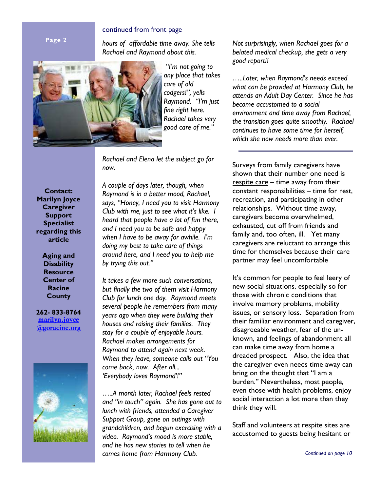#### continued from front page

**Page 2** 

*hours of affordable time away. She tells Rachael and Raymond about this.* 



*"I'm not going to any place that takes care of old codgers!", yells Raymond. "I'm just fine right here. Rachael takes very good care of me."* 

*Rachael and Elena let the subject go for now.* 

**Contact: Marilyn Joyce Caregiver Support Specialist regarding this article** 

> **Aging and Disability Resource Center of Racine County**

**262- 833-8764 marilyn.joyce @goracine.org**



*A couple of days later, though, when Raymond is in a better mood, Rachael, says, "Honey, I need you to visit Harmony Club with me, just to see what it's like. I heard that people have a lot of fun there, and I need you to be safe and happy when I have to be away for awhile. I'm doing my best to take care of things around here, and I need you to help me by trying this out."* 

*It takes a few more such conversations, but finally the two of them visit Harmony Club for lunch one day. Raymond meets several people he remembers from many years ago when they were building their houses and raising their families. They stay for a couple of enjoyable hours. Rachael makes arrangements for Raymond to attend again next week. When they leave, someone calls out "You come back, now. After all... 'Everybody loves Raymond'!"* 

*…..A month later, Rachael feels rested and "in touch" again. She has gone out to lunch with friends, attended a Caregiver Support Group, gone on outings with grandchildren, and begun exercising with a video. Raymond's mood is more stable, and he has new stories to tell when he comes home from Harmony Club.* 

*Not surprisingly, when Rachael goes for a belated medical checkup, she gets a very good report!!* 

*…..Later, when Raymond's needs exceed what can be provided at Harmony Club, he attends an Adult Day Center. Since he has become accustomed to a social environment and time away from Rachael, the transition goes quite smoothly. Rachael continues to have some time for herself, which she now needs more than ever.* 

Surveys from family caregivers have shown that their number one need is respite care – time away from their constant responsibilities – time for rest, recreation, and participating in other relationships. Without time away, caregivers become overwhelmed, exhausted, cut off from friends and family and, too often, ill. Yet many caregivers are reluctant to arrange this time for themselves because their care partner may feel uncomfortable

It's common for people to feel leery of new social situations, especially so for those with chronic conditions that involve memory problems, mobility issues, or sensory loss. Separation from their familiar environment and caregiver, disagreeable weather, fear of the unknown, and feelings of abandonment all can make time away from home a dreaded prospect. Also, the idea that the caregiver even needs time away can bring on the thought that "I am a burden." Nevertheless, most people, even those with health problems, enjoy social interaction a lot more than they think they will.

Staff and volunteers at respite sites are accustomed to guests being hesitant or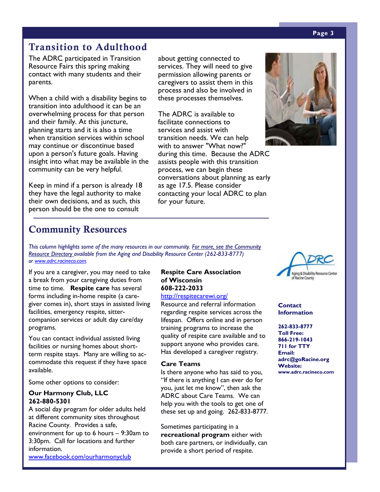# **Transition to Adulthood**

The ADRC participated in Transition Resource Fairs this spring making contact with many students and their parents.

When a child with a disability begins to transition into adulthood it can be an overwhelming process for that person and their family. At this juncture, planning starts and it is also a time when transition services within school may continue or discontinue based upon a person's future goals. Having insight into what may be available in the community can be very helpful.

Keep in mind if a person is already 18 they have the legal authority to make their own decisions, and as such, this person should be the one to consult

about getting connected to services. They will need to give permission allowing parents or caregivers to assist them in this process and also be involved in these processes themselves.

The ADRC is available to facilitate connections to services and assist with transition needs. We can help with to answer "What now?" during this time. Because the ADRC assists people with this transition process, we can begin these conversations about planning as early as age 17.5. Please consider contacting your local ADRC to plan for your future.



# **Community Resources**

*This column highlights some of the many resources in our community. For more, see the Community Resource Directory available from the Aging and Disability Resource Center (262-833-8777) or www.adrc.racineco.com.*

If you are a caregiver, you may need to take a break from your caregiving duties from time to time. **Respite care** has several forms including in-home respite (a caregiver comes in), short stays in assisted living facilities, emergency respite, sittercompanion services or adult day care/day programs.

You can contact individual assisted living facilities or nursing homes about shortterm respite stays. Many are willing to accommodate this request if they have space available.

Some other options to consider:

#### **Our Harmony Club, LLC 262-880-5301**

A social day program for older adults held at different community sites throughout Racine County. Provides a safe, environment for up to 6 hours – 9:30am to 3:30pm. Call for locations and further information.

www.facebook.com/ourharmonyclub

# **Respite Care Association of Wisconsin 608-222-2033**

# http://respitecarewi.org/

Resource and referral information regarding respite services across the lifespan. Offers online and in person training programs to increase the quality of respite care available and to support anyone who provides care. Has developed a caregiver registry.

#### **Care Teams**

Is there anyone who has said to you, "If there is anything I can ever do for you, just let me know", then ask the ADRC about Care Teams. We can help you with the tools to get one of these set up and going. 262-833-8777.

Sometimes participating in a **recreational program** either with both care partners, or individually, can provide a short period of respite.



**Contact Information** 

#### **262-833-8777**

**Toll Free: 866-219-1043 711 for TTY Email: adrc@goRacine.org Website: www.adrc.racineco.com** 

#### **Page 3**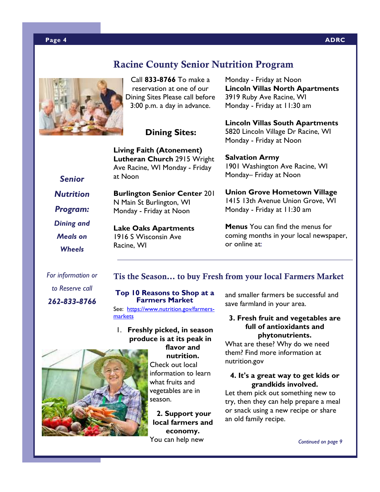# **Racine County Senior Nutrition Program**



Call **833-8766** To make a reservation at one of our Dining Sites Please call before 3:00 p.m. a day in advance.

# **Dining Sites:**

**Living Faith (Atonement) Lutheran Church** 2915 Wright Ave Racine, WI Monday - Friday at Noon

**Burlington Senior Center** 201

N Main St Burlington, WI Monday - Friday at Noon

**Lake Oaks Apartments**  1916 S Wisconsin Ave

Racine, WI

**Lincoln Villas North Apartments**  3919 Ruby Ave Racine, WI Monday - Friday at 11:30 am

Monday - Friday at Noon

**Lincoln Villas South Apartments**  5820 Lincoln Village Dr Racine, WI Monday - Friday at Noon

**Salvation Army**  1901 Washington Ave Racine, WI Monday– Friday at Noon

**Union Grove Hometown Village**  1415 13th Avenue Union Grove, WI Monday - Friday at 11:30 am

**Menus** You can find the menus for coming months in your local newspaper, or online at:

*Senior Nutrition* 

*Program:* 

*Dining and Meals on* 

*Wheels* 

## **Tis the Season… to buy Fresh from your local Farmers Market**

*to Reserve call* 

*For information or* 

*262-833-8766*

#### **Top 10 Reasons to Shop at a Farmers Market**

See: https://www.nutrition.gov/farmersmarkets

#### 1. **Freshly picked, in season produce is at its peak in flavor and**

**nutrition.** Check out local information to learn what fruits and vegetables are in season.

**2. Support your local farmers and economy.** You can help new

and smaller farmers be successful and save farmland in your area.

## **3. Fresh fruit and vegetables are full of antioxidants and phytonutrients.**

What are these? Why do we need them? Find more information at nutrition.gov

#### **4. It's a great way to get kids or grandkids involved.**

Let them pick out something new to try, then they can help prepare a meal or snack using a new recipe or share an old family recipe.



 *Continued on page 9* 

#### **Page 4 ADRC**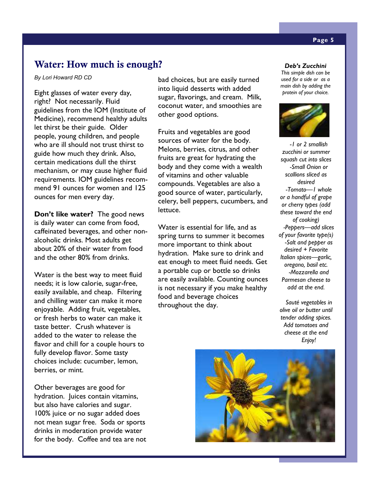# **Water: How much is enough?** *Deb's Zucchini*

*By Lori Howard RD CD* 

Eight glasses of water every day, right? Not necessarily. Fluid guidelines from the IOM (Institute of Medicine), recommend healthy adults let thirst be their guide. Older people, young children, and people who are ill should not trust thirst to guide how much they drink. Also, certain medications dull the thirst mechanism, or may cause higher fluid requirements. IOM guidelines recommend 91 ounces for women and 125 ounces for men every day.

**Don't like water?** The good news is daily water can come from food, caffeinated beverages, and other nonalcoholic drinks. Most adults get about 20% of their water from food and the other 80% from drinks.

Water is the best way to meet fluid needs; it is low calorie, sugar-free, easily available, and cheap. Filtering and chilling water can make it more enjoyable. Adding fruit, vegetables, or fresh herbs to water can make it taste better. Crush whatever is added to the water to release the flavor and chill for a couple hours to fully develop flavor. Some tasty choices include: cucumber, lemon, berries, or mint.

Other beverages are good for hydration. Juices contain vitamins, but also have calories and sugar. 100% juice or no sugar added does not mean sugar free. Soda or sports drinks in moderation provide water for the body. Coffee and tea are not

bad choices, but are easily turned into liquid desserts with added sugar, flavorings, and cream. Milk, coconut water, and smoothies are other good options.

Fruits and vegetables are good sources of water for the body. Melons, berries, citrus, and other fruits are great for hydrating the body and they come with a wealth of vitamins and other valuable compounds. Vegetables are also a good source of water, particularly, celery, bell peppers, cucumbers, and lettuce.

Water is essential for life, and as spring turns to summer it becomes more important to think about hydration. Make sure to drink and eat enough to meet fluid needs. Get a portable cup or bottle so drinks are easily available. Counting ounces is not necessary if you make healthy food and beverage choices throughout the day.

*This simple dish can be used for a side or as a main dish by adding the protein of your choice.*



*-1 or 2 smallish zucchini or summer squash cut into slices -Small Onion or scallions sliced as desired -Tomato—1 whole or a handful of grape or cherry types (add these toward the end of cooking) -Peppers—add slices of your favorite type(s) -Salt and pepper as desired + Favorite Italian spices—garlic, oregano, basil etc. -Mozzarella and Parmesan cheese to add at the end.* 

*Sauté vegetables in olive oil or butter until tender adding spices. Add tomatoes and cheese at the end Enjoy!* 

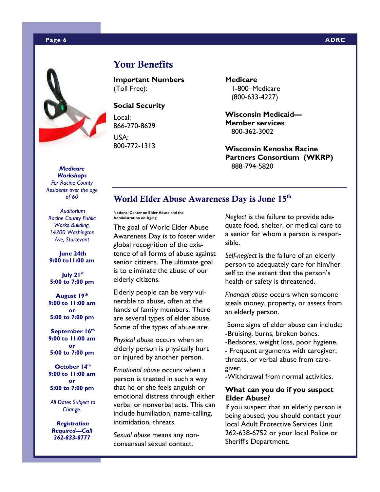

# **Your Benefits**

**Important Numbers**  (Toll Free):

#### **Social Security**

Local: 866-270-8629 USA: 800-772-1313 **Medicare**  1-800–Medicare (800-633-4227)

**Wisconsin Medicaid— Member services**: 800-362-3002

**Wisconsin Kenosha Racine Partners Consortium (WKRP)**  888-794-5820

#### *Medicare Workshops*

*For Racine County Residents over the age of 60* 

*Auditorium Racine County Public Works Building, 14200 Washington Ave, Sturtevant* 

#### **June 24th 9:00 to11:00 am**

 **July 21st 5:00 to 7:00 pm** 

**August 19th 9:00 to 11:00 am or 5:00 to 7:00 pm** 

 **September 16th 9:00 to 11:00 am or 5:00 to 7:00 pm** 

 **October 14th 9:00 to 11:00 am or 5:00 to 7:00 pm** 

*All Dates Subject to Change.* 

 *Registration Required—Call 262-833-8777* 

# **World Elder Abuse Awareness Day is June 15th**

**National Center on Elder Abuse and the Administration on Aging** 

The goal of World Elder Abuse Awareness Day is to foster wider global recognition of the existence of all forms of abuse against senior citizens. The ultimate goal is to eliminate the abuse of our elderly citizens.

Elderly people can be very vulnerable to abuse, often at the hands of family members. There are several types of elder abuse. Some of the types of abuse are:

*Physical abuse* occurs when an elderly person is physically hurt or injured by another person.

*Emotional abuse* occurs when a person is treated in such a way that he or she feels anguish or emotional distress through either verbal or nonverbal acts. This can include humiliation, name-calling, intimidation, threats.

*Sexual abuse* means any nonconsensual sexual contact.

*Neglect* is the failure to provide adequate food, shelter, or medical care to a senior for whom a person is responsible.

*Self-neglect* is the failure of an elderly person to adequately care for him/her self to the extent that the person's health or safety is threatened.

*Financial abuse* occurs when someone steals money, property, or assets from an elderly person.

 Some signs of elder abuse can include: -Bruising, burns, broken bones.

-Bedsores, weight loss, poor hygiene.

- Frequent arguments with caregiver; threats, or verbal abuse from caregiver.

-Withdrawal from normal activities.

#### **What can you do if you suspect Elder Abuse?**

If you suspect that an elderly person is being abused, you should contact your local Adult Protective Services Unit 262-638-6752 or your local Police or Sheriff's Department.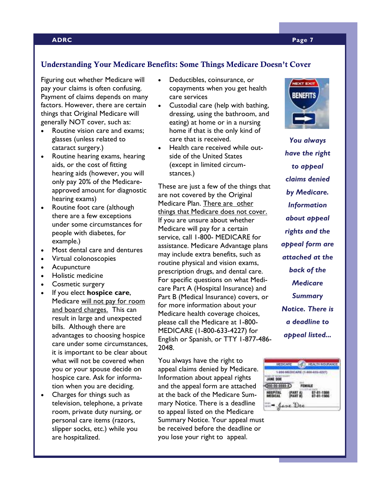#### **ADRC Page 7**

#### **Understanding Your Medicare Benefits: Some Things Medicare Doesn't Cover**

Figuring out whether Medicare will pay your claims is often confusing. Payment of claims depends on many factors. However, there are certain things that Original Medicare will generally NOT cover, such as:

- Routine vision care and exams; glasses (unless related to cataract surgery.)
- Routine hearing exams, hearing aids, or the cost of fitting hearing aids (however, you will only pay 20% of the Medicareapproved amount for diagnostic hearing exams)
- Routine foot care (although there are a few exceptions under some circumstances for people with diabetes, for example.)
- Most dental care and dentures
- Virtual colonoscopies
- Acupuncture
- Holistic medicine
- Cosmetic surgery
- If you elect **hospice care**, Medicare will not pay for room and board charges. This can result in large and unexpected bills. Although there are advantages to choosing hospice care under some circumstances, it is important to be clear about what will not be covered when you or your spouse decide on hospice care. Ask for information when you are deciding.
- Charges for things such as television, telephone, a private room, private duty nursing, or personal care items (razors, slipper socks, etc.) while you are hospitalized.
- Deductibles, coinsurance, or copayments when you get health care services
- Custodial care (help with bathing, dressing, using the bathroom, and eating) at home or in a nursing home if that is the only kind of care that is received.
- Health care received while outside of the United States (except in limited circumstances.)

These are just a few of the things that are not covered by the Original Medicare Plan. There are other things that Medicare does not cover. If you are unsure about whether Medicare will pay for a certain service, call 1-800- MEDICARE for assistance. Medicare Advantage plans may include extra benefits, such as routine physical and vision exams, prescription drugs, and dental care. For specific questions on what Medicare Part A (Hospital Insurance) and Part B (Medical Insurance) covers, or for more information about your Medicare health coverage choices, please call the Medicare at 1-800- MEDICARE (1-800-633-4227) for English or Spanish, or TTY 1-877-486- 2048.

You always have the right to appeal claims denied by Medicare. Information about appeal rights and the appeal form are attached at the back of the Medicare Summary Notice. There is a deadline to appeal listed on the Medicare Summary Notice. Your appeal must be received before the deadline or you lose your right to appeal.



*You always have the right to appeal claims denied by Medicare. Information about appeal rights and the appeal form are attached at the back of the Medicare Summary Notice. There is a deadline to appeal listed...* 

#### REDGALE CONTRACTOR PROTOCOL 1-800 005 DICARE (1-800-823-4227) JANE DOE FEMALE  $(0.1413333)$ HOSPITAL<br>MEDICAL **SANT AL** 07-01-1988 - Jane Dee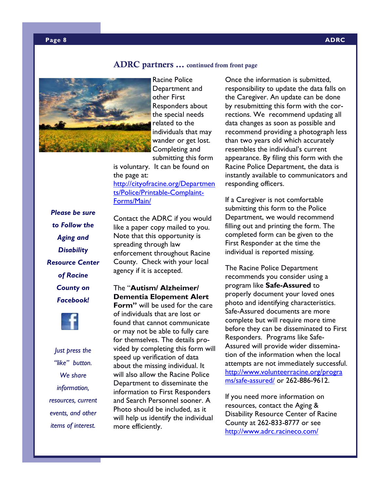#### **ADRC partners … continued from front page**



Racine Police Department and other First Responders about the special needs related to the individuals that may wander or get lost. Completing and submitting this form

is voluntary. It can be found on the page at: http://cityofracine.org/Departmen ts/Police/Printable-Complaint-Forms/Main/

*Please be sure to Follow the Aging and Disability Resource Center of Racine County on Facebook!* 



*Just press the "like" button. We share information, resources, current events, and other items of interest.* 

Contact the ADRC if you would like a paper copy mailed to you. Note that this opportunity is spreading through law enforcement throughout Racine County. Check with your local agency if it is accepted.

# The "**Autism/ Alzheimer/ Dementia Elopement Alert**

**Form"** will be used for the care of individuals that are lost or found that cannot communicate or may not be able to fully care for themselves. The details provided by completing this form will speed up verification of data about the missing individual. It will also allow the Racine Police Department to disseminate the information to First Responders and Search Personnel sooner. A Photo should be included, as it will help us identify the individual more efficiently.

Once the information is submitted, responsibility to update the data falls on the Caregiver. An update can be done by resubmitting this form with the corrections. We recommend updating all data changes as soon as possible and recommend providing a photograph less than two years old which accurately resembles the individual's current appearance. By filing this form with the Racine Police Department, the data is instantly available to communicators and responding officers.

If a Caregiver is not comfortable submitting this form to the Police Department, we would recommend filling out and printing the form. The completed form can be given to the First Responder at the time the individual is reported missing.

The Racine Police Department recommends you consider using a program like **Safe-Assured** to properly document your loved ones photo and identifying characteristics. Safe-Assured documents are more complete but will require more time before they can be disseminated to First Responders. Programs like Safe-Assured will provide wider dissemination of the information when the local attempts are not immediately successful. http://www.volunteerracine.org/progra ms/safe-assured/ or 262-886-9612.

If you need more information on resources, contact the Aging & Disability Resource Center of Racine County at 262-833-8777 or see http://www.adrc.racineco.com/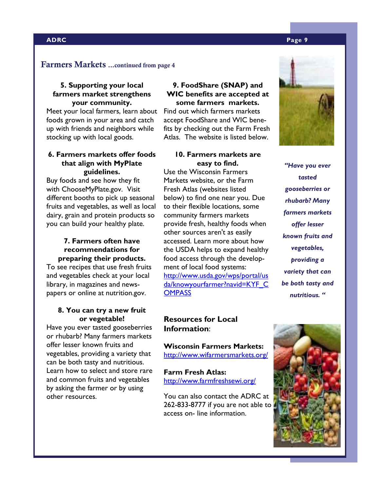#### **ADRC Page 9**

#### **Farmers Markets ...continued from page 4**

#### **5. Supporting your local farmers market strengthens your community.**

Meet your local farmers, learn about foods grown in your area and catch up with friends and neighbors while stocking up with local goods.

#### **6. Farmers markets offer foods that align with MyPlate guidelines.**

Buy foods and see how they fit with ChooseMyPlate.gov. Visit different booths to pick up seasonal fruits and vegetables, as well as local dairy, grain and protein products so you can build your healthy plate.

#### **7. Farmers often have recommendations for preparing their products.**

To see recipes that use fresh fruits and vegetables check at your local library, in magazines and newspapers or online at nutrition.gov.

#### **8. You can try a new fruit or vegetable!**

Have you ever tasted gooseberries or rhubarb? Many farmers markets offer lesser known fruits and vegetables, providing a variety that can be both tasty and nutritious. Learn how to select and store rare and common fruits and vegetables by asking the farmer or by using other resources.

#### **9. FoodShare (SNAP) and WIC benefits are accepted at some farmers markets.**

Find out which farmers markets accept FoodShare and WIC benefits by checking out the Farm Fresh Atlas. The website is listed below.

## **10. Farmers markets are easy to find.**

Use the Wisconsin Farmers Markets website, or the Farm Fresh Atlas (websites listed below) to find one near you. Due to their flexible locations, some community farmers markets provide fresh, healthy foods when other sources aren't as easily accessed. Learn more about how the USDA helps to expand healthy food access through the development of local food systems: http://www.usda.gov/wps/portal/us da/knowyourfarmer?navid=KYF\_C **OMPASS** 

# **Resources for Local Information**:

**Wisconsin Farmers Markets:**  http://www.wifarmersmarkets.org/

#### **Farm Fresh Atlas:**  http://www.farmfreshsewi.org/

You can also contact the ADRC at 262-833-8777 if you are not able to access on- line information.



*rhubarb? Many farmers markets offer lesser known fruits and vegetables, providing a variety that can be both tasty and nutritious. "* 

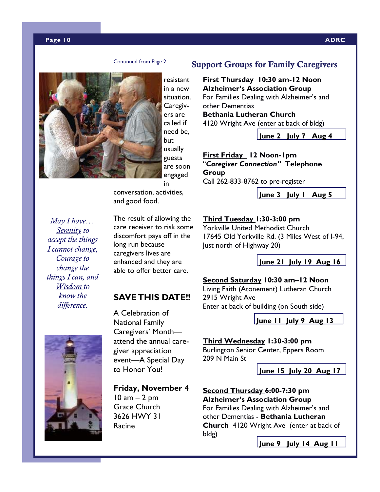#### **Page 10 ADRC**

#### Continued from Page 2



resistant in a new situation. Caregivers are called if need be, but usually guests are soon engaged in

conversation, activities, and good food.

*May I have… Serenity to accept the things I cannot change, Courage to change the things I can, and Wisdom to know the difference.* 

The result of allowing the care receiver to risk some discomfort pays off in the long run because caregivers lives are enhanced and they are able to offer better care.

# **SAVE THIS DATE!!**



A Celebration of National Family Caregivers' Month attend the annual caregiver appreciation event—A Special Day to Honor You!

#### **Friday, November 4**

 $10$  am  $-2$  pm Grace Church 3626 HWY 31 Racine

#### **Support Groups for Family Caregivers**

**First Thursday 10:30 am-12 Noon Alzheimer's Association Group**  For Families Dealing with Alzheimer's and other Dementias **Bethania Lutheran Church** 4120 Wright Ave (enter at back of bldg)

**June 2 July 7 Aug 4** 

**First Friday 12 Noon-1pm**  "*Caregiver Connection"* **Telephone Group**  Call 262-833-8762 to pre-register

**June 3 July 1 Aug 5**

#### **Third Tuesday 1:30-3:00 pm**

Yorkville United Methodist Church 17645 Old Yorkville Rd. (3 Miles West of I-94, Just north of Highway 20)

**June 21 July 19 Aug 16**

#### **Second Saturday 10:30 am–12 Noon**

Living Faith (Atonement) Lutheran Church 2915 Wright Ave Enter at back of building (on South side)

**June 11 July 9 Aug 13**

#### **Third Wednesday 1:30-3:00 pm**

Burlington Senior Center, Eppers Room 209 N Main St

**June 15 July 20 Aug 17**

**Second Thursday 6:00-7:30 pm Alzheimer's Association Group**  For Families Dealing with Alzheimer's and other Dementias - **Bethania Lutheran Church** 4120 Wright Ave (enter at back of bldg)

**June 9 July 14 Aug 11**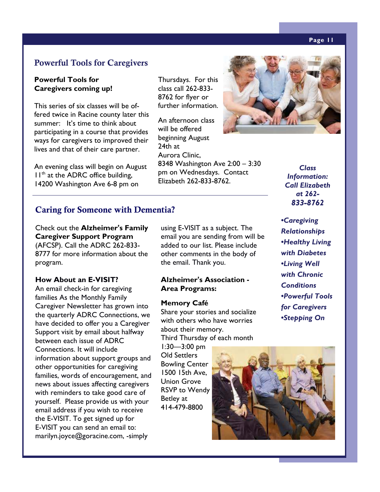#### **Page 11**

# **Powerful Tools for Caregivers**

#### **Powerful Tools for Caregivers coming up!**

This series of six classes will be offered twice in Racine county later this summer: It's time to think about participating in a course that provides ways for caregivers to improved their lives and that of their care partner.

An evening class will begin on August  $11<sup>th</sup>$  at the ADRC office building, 14200 Washington Ave 6-8 pm on

## **Caring for Someone with Dementia?**

Check out the **Alzheimer's Family Caregiver Support Program**  (AFCSP). Call the ADRC 262-833- 8777 for more information about the program.

#### **How About an E-VISIT?**

An email check-in for caregiving families As the Monthly Family Caregiver Newsletter has grown into the quarterly ADRC Connections, we have decided to offer you a Caregiver Support visit by email about halfway between each issue of ADRC Connections. It will include information about support groups and other opportunities for caregiving families, words of encouragement, and news about issues affecting caregivers with reminders to take good care of yourself. Please provide us with your email address if you wish to receive the E-VISIT. To get signed up for E-VISIT you can send an email to: marilyn.joyce@goracine.com, -simply

Thursdays. For this class call 262-833- 8762 for flyer or further information.

An afternoon class will be offered beginning August 24th at Aurora Clinic, 8348 Washington Ave 2:00 – 3:30 pm on Wednesdays. Contact Elizabeth 262-833-8762.



*Class Information: Call Elizabeth at 262- 833-8762* 

*for Caregivers •Stepping On* 

using E-VISIT as a subject. The email you are sending from will be added to our list. Please include other comments in the body of *•Caregiving Relationships •Healthy Living with Diabetes •Living Well with Chronic Conditions •Powerful Tools* 

**Alzheimer's Association - Area Programs:** 

the email. Thank you.

#### **Memory Café**

Share your stories and socialize with others who have worries about their memory. Third Thursday of each month

1:30—3:00 pm Old Settlers Bowling Center 1500 15th Ave, Union Grove RSVP to Wendy Betley at 414-479-8800